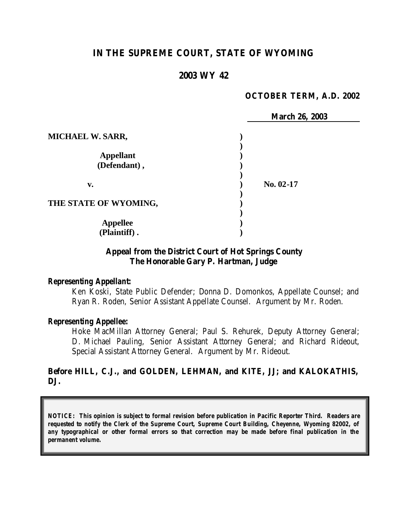# **IN THE SUPREME COURT, STATE OF WYOMING**

## **2003 WY 42**

#### **OCTOBER TERM, A.D. 2002**

|                         | <b>March 26, 2003</b> |
|-------------------------|-----------------------|
| <b>MICHAEL W. SARR,</b> |                       |
|                         |                       |
| <b>Appellant</b>        |                       |
| (Defendant),            |                       |
| v.                      | No. 02-17             |
| THE STATE OF WYOMING,   |                       |
|                         |                       |
| <b>Appellee</b>         |                       |
| (Plaintiff).            |                       |

## **Appeal from the District Court of Hot Springs County The Honorable Gary P. Hartman, Judge**

#### *Representing Appellant:*

Ken Koski, State Public Defender; Donna D. Domonkos, Appellate Counsel; and Ryan R. Roden, Senior Assistant Appellate Counsel. Argument by Mr. Roden.

#### *Representing Appellee:*

Hoke MacMillan Attorney General; Paul S. Rehurek, Deputy Attorney General; D. Michael Pauling, Senior Assistant Attorney General; and Richard Rideout, Special Assistant Attorney General. Argument by Mr. Rideout.

## **Before HILL, C.J., and GOLDEN, LEHMAN, and KITE, JJ; and KALOKATHIS, DJ.**

*NOTICE: This opinion is subject to formal revision before publication in Pacific Reporter Third. Readers are requested to notify the Clerk of the Supreme Court, Supreme Court Building, Cheyenne, Wyoming 82002, of any typographical or other formal errors so that correction may be made before final publication in the permanent volume.*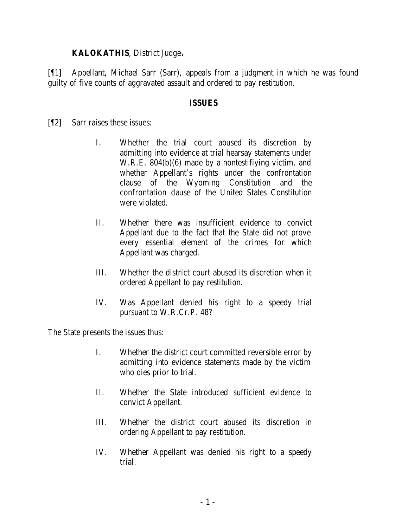## **KALOKATHIS**, District Judge**.**

[¶1] Appellant, Michael Sarr (Sarr), appeals from a judgment in which he was found guilty of five counts of aggravated assault and ordered to pay restitution.

## **ISSUES**

[¶2] Sarr raises these issues:

- I. Whether the trial court abused its discretion by admitting into evidence at trial hearsay statements under W.R.E. 804(b)(6) made by a nontestifiying victim, and whether Appellant's rights under the confrontation clause of the Wyoming Constitution and the confrontation dause of the United States Constitution were violated.
- II. Whether there was insufficient evidence to convict Appellant due to the fact that the State did not prove every essential element of the crimes for which Appellant was charged.
- III. Whether the district court abused its discretion when it ordered Appellant to pay restitution.
- IV. Was Appellant denied his right to a speedy trial pursuant to W.R.Cr.P. 48?

The State presents the issues thus:

- I. Whether the district court committed reversible error by admitting into evidence statements made by the victim who dies prior to trial.
- II. Whether the State introduced sufficient evidence to convict Appellant.
- III. Whether the district court abused its discretion in ordering Appellant to pay restitution.
- IV. Whether Appellant was denied his right to a speedy trial.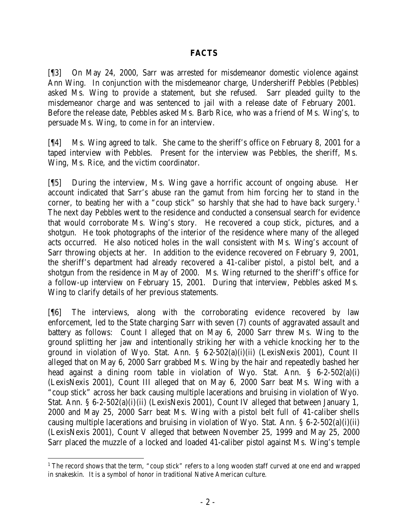## **FACTS**

[¶3] On May 24, 2000, Sarr was arrested for misdemeanor domestic violence against Ann Wing. In conjunction with the misdemeanor charge, Undersheriff Pebbles (Pebbles) asked Ms. Wing to provide a statement, but she refused. Sarr pleaded guilty to the misdemeanor charge and was sentenced to jail with a release date of February 2001. Before the release date, Pebbles asked Ms. Barb Rice, who was a friend of Ms. Wing's, to persuade Ms. Wing, to come in for an interview.

[¶4] Ms. Wing agreed to talk. She came to the sheriff's office on February 8, 2001 for a taped interview with Pebbles. Present for the interview was Pebbles, the sheriff, Ms. Wing, Ms. Rice, and the victim coordinator.

[¶5] During the interview, Ms. Wing gave a horrific account of ongoing abuse. Her account indicated that Sarr's abuse ran the gamut from him forcing her to stand in the corner, to beating her with a "coup stick" so harshly that she had to have back surgery.<sup>1</sup> The next day Pebbles went to the residence and conducted a consensual search for evidence that would corroborate Ms. Wing's story. He recovered a coup stick, pictures, and a shotgun. He took photographs of the interior of the residence where many of the alleged acts occurred. He also noticed holes in the wall consistent with Ms. Wing's account of Sarr throwing objects at her. In addition to the evidence recovered on February 9, 2001, the sheriff's department had already recovered a 41-caliber pistol, a pistol belt, and a shotgun from the residence in May of 2000. Ms. Wing returned to the sheriff's office for a follow-up interview on February 15, 2001. During that interview, Pebbles asked Ms. Wing to clarify details of her previous statements.

[¶6] The interviews, along with the corroborating evidence recovered by law enforcement, led to the State charging Sarr with seven (7) counts of aggravated assault and battery as follows: Count I alleged that on May 6, 2000 Sarr threw Ms. Wing to the ground splitting her jaw and intentionally striking her with a vehicle knocking her to the ground in violation of Wyo. Stat. Ann.  $\S 6-2-502(a)(i)(ii)$  (LexisNexis 2001), Count II alleged that on May 6, 2000 Sarr grabbed Ms. Wing by the hair and repeatedly bashed her head against a dining room table in violation of Wyo. Stat. Ann. § 6-2-502(a)(i) (LexisNexis 2001), Count III alleged that on May 6, 2000 Sarr beat Ms. Wing with a "coup stick" across her back causing multiple lacerations and bruising in violation of Wyo. Stat. Ann. § 6-2-502(a)(i)(ii) (LexisNexis 2001), Count IV alleged that between January 1, 2000 and May 25, 2000 Sarr beat Ms. Wing with a pistol belt full of 41-caliber shells causing multiple lacerations and bruising in violation of Wyo. Stat. Ann. § 6-2-502(a)(i)(ii) (LexisNexis 2001), Count V alleged that between November 25, 1999 and May 25, 2000 Sarr placed the muzzle of a locked and loaded 41-caliber pistol against Ms. Wing's temple

<sup>&</sup>lt;sup>1</sup> The record shows that the term, "coup stick" refers to a long wooden staff curved at one end and wrapped in snakeskin. It is a symbol of honor in traditional Native American culture.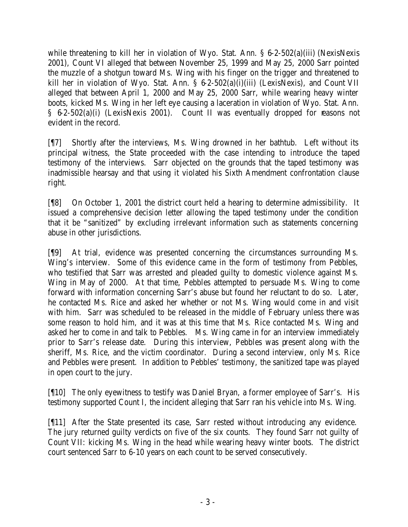while threatening to kill her in violation of Wyo. Stat. Ann. § 6-2-502(a)(iii) (NexisNexis 2001), Count VI alleged that between November 25, 1999 and May 25, 2000 Sarr pointed the muzzle of a shotgun toward Ms. Wing with his finger on the trigger and threatened to kill her in violation of Wyo. Stat. Ann. § 6-2-502(a)(i)(iii) (LexisNexis), and Count VII alleged that between April 1, 2000 and May 25, 2000 Sarr, while wearing heavy winter boots, kicked Ms. Wing in her left eye causing a laceration in violation of Wyo. Stat. Ann. § 6-2-502(a)(i) (LexisNexis 2001). Count II was eventually dropped for reasons not evident in the record.

[¶7] Shortly after the interviews, Ms. Wing drowned in her bathtub. Left without its principal witness, the State proceeded with the case intending to introduce the taped testimony of the interviews. Sarr objected on the grounds that the taped testimony was inadmissible hearsay and that using it violated his Sixth Amendment confrontation clause right.

[¶8] On October 1, 2001 the district court held a hearing to determine admissibility. It issued a comprehensive decision letter allowing the taped testimony under the condition that it be "sanitized" by excluding irrelevant information such as statements concerning abuse in other jurisdictions.

[¶9] At trial, evidence was presented concerning the circumstances surrounding Ms. Wing's interview. Some of this evidence came in the form of testimony from Pebbles, who testified that Sarr was arrested and pleaded guilty to domestic violence against Ms. Wing in May of 2000. At that time, Pebbles attempted to persuade Ms. Wing to come forward with information concerning Sarr's abuse but found her reluctant to do so. Later, he contacted Ms. Rice and asked her whether or not Ms. Wing would come in and visit with him. Sarr was scheduled to be released in the middle of February unless there was some reason to hold him, and it was at this time that Ms. Rice contacted Ms. Wing and asked her to come in and talk to Pebbles. Ms. Wing came in for an interview immediately prior to Sarr's release date. During this interview, Pebbles was present along with the sheriff, Ms. Rice, and the victim coordinator. During a second interview, only Ms. Rice and Pebbles were present. In addition to Pebbles' testimony, the sanitized tape was played in open court to the jury.

[¶10] The only eyewitness to testify was Daniel Bryan, a former employee of Sarr's. His testimony supported Count I, the incident alleging that Sarr ran his vehicle into Ms. Wing.

[¶11] After the State presented its case, Sarr rested without introducing any evidence. The jury returned guilty verdicts on five of the six counts. They found Sarr not guilty of Count VII: kicking Ms. Wing in the head while wearing heavy winter boots. The district court sentenced Sarr to 6-10 years on each count to be served consecutively.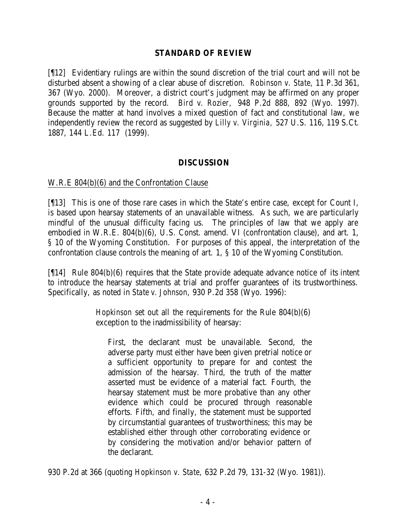#### **STANDARD OF REVIEW**

[¶12] Evidentiary rulings are within the sound discretion of the trial court and will not be disturbed absent a showing of a clear abuse of discretion. *Robinson v. State,* 11 P.3d 361, 367 (Wyo. 2000). Moreover, a district court's judgment may be affirmed on any proper grounds supported by the record. *Bird v. Rozier,* 948 P.2d 888, 892 (Wyo. 1997). Because the matter at hand involves a mixed question of fact and constitutional law, we independently review the record as suggested by *Lilly v. Virginia,* 527 U.S. 116, 119 S.Ct. 1887, 144 L.Ed. 117 (1999).

### **DISCUSSION**

#### W.R.E 804(b)(6) and the Confrontation Clause

[¶13] This is one of those rare cases in which the State's entire case, except for Count I, is based upon hearsay statements of an unavailable witness. As such, we are particularly mindful of the unusual difficulty facing us. The principles of law that we apply are embodied in W.R.E. 804(b)(6), U.S. Const. amend. VI (confrontation clause), and art. 1, § 10 of the Wyoming Constitution. For purposes of this appeal, the interpretation of the confrontation clause controls the meaning of art. 1, § 10 of the Wyoming Constitution.

[¶14] Rule 804(b)(6) requires that the State provide adequate advance notice of its intent to introduce the hearsay statements at trial and proffer guarantees of its trustworthiness. Specifically, as noted in *State v. Johnson*, 930 P.2d 358 (Wyo. 1996):

> *Hopkinson* set out all the requirements for the Rule 804(b)(6) exception to the inadmissibility of hearsay:

First, the declarant must be unavailable. Second, the adverse party must either have been given pretrial notice or a sufficient opportunity to prepare for and contest the admission of the hearsay. Third, the truth of the matter asserted must be evidence of a material fact. Fourth, the hearsay statement must be more probative than any other evidence which could be procured through reasonable efforts. Fifth, and finally, the statement must be supported by circumstantial guarantees of trustworthiness; this may be established either through other corroborating evidence or by considering the motivation and/or behavior pattern of the declarant.

930 P.2d at 366 (quoting *Hopkinson v. State,* 632 P.2d 79, 131-32 (Wyo. 1981)).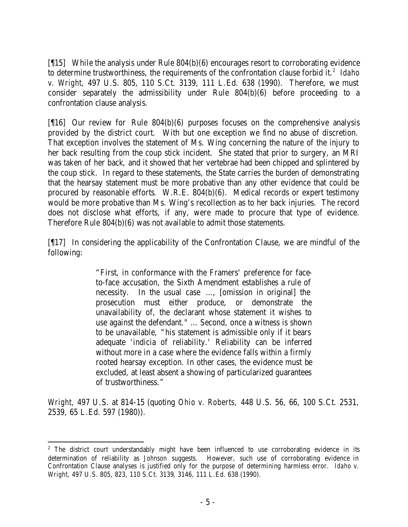[¶15] While the analysis under Rule 804(b)(6) encourages resort to corroborating evidence to determine trustworthiness, the requirements of the confrontation clause forbid it.<sup>2</sup> Idaho *v. Wright,* 497 U.S. 805, 110 S.Ct. 3139, 111 L.Ed. 638 (1990). Therefore, we must consider separately the admissibility under Rule 804(b)(6) before proceeding to a confrontation clause analysis.

[¶16] Our review for Rule 804(b)(6) purposes focuses on the comprehensive analysis provided by the district court. With but one exception we find no abuse of discretion. That exception involves the statement of Ms. Wing concerning the nature of the injury to her back resulting from the coup stick incident. She stated that prior to surgery, an MRI was taken of her back, and it showed that her vertebrae had been chipped and splintered by the coup stick. In regard to these statements, the State carries the burden of demonstrating that the hearsay statement must be more probative than any other evidence that could be procured by reasonable efforts. W.R.E. 804(b)(6). Medical records or expert testimony would be more probative than Ms. Wing's recollection as to her back injuries. The record does not disclose what efforts, if any, were made to procure that type of evidence. Therefore Rule 804(b)(6) was not available to admit those statements.

[¶17] In considering the applicability of the Confrontation Clause, we are mindful of the following:

> "First, in conformance with the Framers' preference for faceto-face accusation, the Sixth Amendment establishes a rule of necessity. In the usual case …, [omission in original] the prosecution must either produce, or demonstrate the unavailability of, the declarant whose statement it wishes to use against the defendant." … Second, once a witness is shown to be unavailable, "his statement is admissible only if it bears adequate 'indicia of reliability.' Reliability can be inferred without more in a case where the evidence falls within a firmly rooted hearsay exception. In other cases, the evidence must be excluded, at least absent a showing of particularized guarantees of trustworthiness."

*Wright,* 497 U.S. at 814-15 (quoting *Ohio v. Roberts,* 448 U.S. 56, 66, 100 S.Ct. 2531, 2539, 65 L.Ed. 597 (1980)).

<sup>&</sup>lt;sup>2</sup> The district court understandably might have been influenced to use corroborating evidence in its determination of reliability as *Johnson* suggests. However, such use of corroborating evidence in Confrontation Clause analyses is justified only for the purpose of determining harmless error. *Idaho v. Wright,* 497 U.S. 805, 823, 110 S.Ct. 3139, 3146, 111 L.Ed. 638 (1990).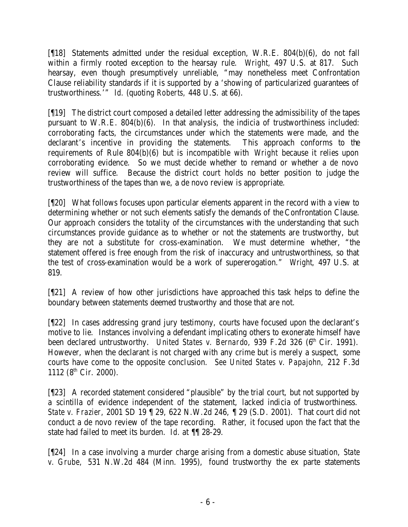[¶18] Statements admitted under the residual exception, W.R.E. 804(b)(6), do not fall within a firmly rooted exception to the hearsay rule. *Wright,* 497 U.S. at 817. Such hearsay, even though presumptively unreliable, "may nonetheless meet Confrontation Clause reliability standards if it is supported by a 'showing of particularized guarantees of trustworthiness.'" *Id.* (quoting *Roberts,* 448 U.S. at 66).

[¶19] The district court composed a detailed letter addressing the admissibility of the tapes pursuant to W.R.E. 804(b)(6). In that analysis, the indicia of trustworthiness included: corroborating facts, the circumstances under which the statements were made, and the declarant's incentive in providing the statements. This approach conforms to the requirements of Rule 804(b)(6) but is incompatible with *Wright* because it relies upon corroborating evidence. So we must decide whether to remand or whether a de novo review will suffice. Because the district court holds no better position to judge the trustworthiness of the tapes than we, a de novo review is appropriate.

[¶20] What follows focuses upon particular elements apparent in the record with a view to determining whether or not such elements satisfy the demands of the Confrontation Clause. Our approach considers the totality of the circumstances with the understanding that such circumstances provide guidance as to whether or not the statements are trustworthy, but they are not a substitute for cross-examination. We must determine whether, "the statement offered is free enough from the risk of inaccuracy and untrustworthiness, so that the test of cross-examination would be a work of supererogation." *Wright,* 497 U.S. at 819.

[¶21] A review of how other jurisdictions have approached this task helps to define the boundary between statements deemed trustworthy and those that are not.

[¶22] In cases addressing grand jury testimony, courts have focused upon the declarant's motive to lie. Instances involving a defendant implicating others to exonerate himself have been declared untrustworthy. *United States v. Bernardo*, 939 F.2d 326 (6<sup>th</sup> Cir. 1991). However, when the declarant is not charged with any crime but is merely a suspect, some courts have come to the opposite conclusion. *See United States v. Papajohn,* 212 F.3d 1112 (8<sup>th</sup> Cir. 2000).

[¶23] A recorded statement considered "plausible" by the trial court, but not supported by a scintilla of evidence independent of the statement, lacked indicia of trustworthiness. *State v. Frazier,* 2001 SD 19 ¶ 29, 622 N.W.2d 246, ¶ 29 (S.D. 2001). That court did not conduct a de novo review of the tape recording. Rather, it focused upon the fact that the state had failed to meet its burden. *Id.* at ¶¶ 28-29.

[¶24] In a case involving a murder charge arising from a domestic abuse situation, *State v. Grube,* 531 N.W.2d 484 (Minn. 1995), found trustworthy the ex parte statements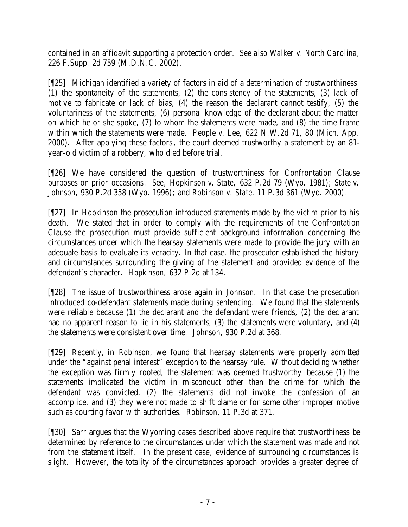contained in an affidavit supporting a protection order. *See also Walker v. North Carolina,* 226 F.Supp. 2d 759 (M.D.N.C. 2002).

[¶25] Michigan identified a variety of factors in aid of a determination of trustworthiness: (1) the spontaneity of the statements, (2) the consistency of the statements, (3) lack of motive to fabricate or lack of bias, (4) the reason the declarant cannot testify, (5) the voluntariness of the statements, (6) personal knowledge of the declarant about the matter on which he or she spoke, (7) to whom the statements were made, and (8) the time frame within which the statements were made. *People v. Lee,* 622 N.W.2d 71, 80 (Mich. App. 2000). After applying these factors, the court deemed trustworthy a statement by an 81 year-old victim of a robbery, who died before trial.

[¶26] We have considered the question of trustworthiness for Confrontation Clause purposes on prior occasions. *See, Hopkinson v. State,* 632 P.2d 79 (Wyo. 1981); *State v. Johnson*, 930 P.2d 358 (Wyo. 1996); and *Robinson v. State,* 11 P.3d 361 (Wyo. 2000).

[¶27] In *Hopkinson* the prosecution introduced statements made by the victim prior to his death. We stated that in order to comply with the requirements of the Confrontation Clause the prosecution must provide sufficient background information concerning the circumstances under which the hearsay statements were made to provide the jury with an adequate basis to evaluate its veracity. In that case, the prosecutor established the history and circumstances surrounding the giving of the statement and provided evidence of the defendant's character. *Hopkinson,* 632 P.2d at 134.

[¶28] The issue of trustworthiness arose again in *Johnson*. In that case the prosecution introduced co-defendant statements made during sentencing. We found that the statements were reliable because (1) the declarant and the defendant were friends, (2) the declarant had no apparent reason to lie in his statements, (3) the statements were voluntary, and (4) the statements were consistent over time. *Johnson*, 930 P.2d at 368.

[¶29] Recently, in *Robinson*, we found that hearsay statements were properly admitted under the "against penal interest" exception to the hearsay rule. Without deciding whether the exception was firmly rooted, the statement was deemed trustworthy because (1) the statements implicated the victim in misconduct other than the crime for which the defendant was convicted, (2) the statements did not invoke the confession of an accomplice, and (3) they were not made to shift blame or for some other improper motive such as courting favor with authorities. *Robinson*, 11 P.3d at 371.

[¶30] Sarr argues that the Wyoming cases described above require that trustworthiness be determined by reference to the circumstances under which the statement was made and not from the statement itself. In the present case, evidence of surrounding circumstances is slight. However, the totality of the circumstances approach provides a greater degree of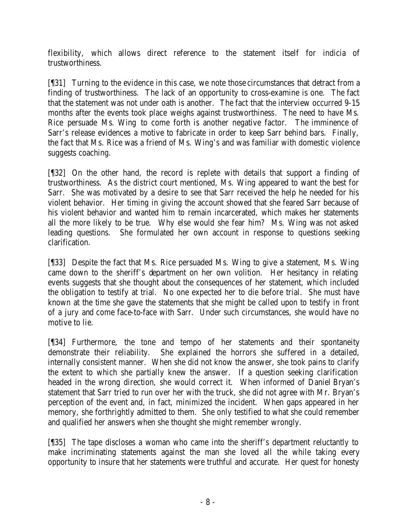flexibility, which allows direct reference to the statement itself for indicia of trustworthiness.

[¶31] Turning to the evidence in this case, we note those circumstances that detract from a finding of trustworthiness. The lack of an opportunity to cross-examine is one. The fact that the statement was not under oath is another. The fact that the interview occurred 9-15 months after the events took place weighs against trustworthiness. The need to have Ms. Rice persuade Ms. Wing to come forth is another negative factor. The imminence of Sarr's release evidences a motive to fabricate in order to keep Sarr behind bars. Finally, the fact that Ms. Rice was a friend of Ms. Wing's and was familiar with domestic violence suggests coaching.

[¶32] On the other hand, the record is replete with details that support a finding of trustworthiness. As the district court mentioned, Ms. Wing appeared to want the best for Sarr. She was motivated by a desire to see that Sarr received the help he needed for his violent behavior. Her timing in giving the account showed that she feared Sarr because of his violent behavior and wanted him to remain incarcerated, which makes her statements all the more likely to be true. Why else would she fear him? Ms. Wing was not asked leading questions. She formulated her own account in response to questions seeking clarification.

[¶33] Despite the fact that Ms. Rice persuaded Ms. Wing to give a statement, Ms. Wing came down to the sheriff's department on her own volition. Her hesitancy in relating events suggests that she thought about the consequences of her statement, which included the obligation to testify at trial. No one expected her to die before trial. She must have known at the time she gave the statements that she might be called upon to testify in front of a jury and come face-to-face with Sarr. Under such circumstances, she would have no motive to lie.

[¶34] Furthermore, the tone and tempo of her statements and their spontaneity demonstrate their reliability. She explained the horrors she suffered in a detailed, internally consistent manner. When she did not know the answer, she took pains to clarify the extent to which she partially knew the answer. If a question seeking clarification headed in the wrong direction, she would correct it. When informed of Daniel Bryan's statement that Sarr tried to run over her with the truck, she did not agree with Mr. Bryan's perception of the event and, in fact, minimized the incident. When gaps appeared in her memory, she forthrightly admitted to them. She only testified to what she could remember and qualified her answers when she thought she might remember wrongly.

[¶35] The tape discloses a woman who came into the sheriff's department reluctantly to make incriminating statements against the man she loved all the while taking every opportunity to insure that her statements were truthful and accurate. Her quest for honesty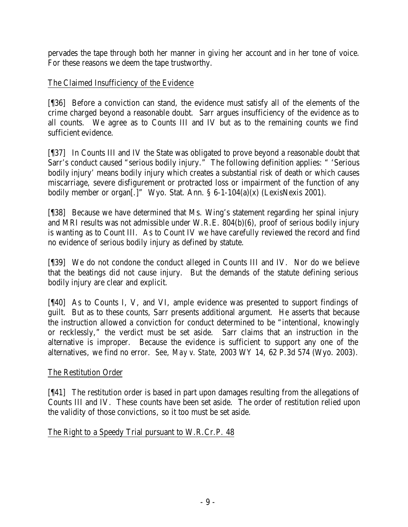pervades the tape through both her manner in giving her account and in her tone of voice. For these reasons we deem the tape trustworthy.

# The Claimed Insufficiency of the Evidence

[¶36] Before a conviction can stand, the evidence must satisfy all of the elements of the crime charged beyond a reasonable doubt. Sarr argues insufficiency of the evidence as to all counts. We agree as to Counts III and IV but as to the remaining counts we find sufficient evidence.

[¶37] In Counts III and IV the State was obligated to prove beyond a reasonable doubt that Sarr's conduct caused "serious bodily injury." The following definition applies: " 'Serious bodily injury' means bodily injury which creates a substantial risk of death or which causes miscarriage, severe disfigurement or protracted loss or impairment of the function of any bodily member or organ<sup>[.]</sup>" Wyo. Stat. Ann. § 6-1-104(a)(x) (LexisNexis 2001).

[¶38] Because we have determined that Ms. Wing's statement regarding her spinal injury and MRI results was not admissible under W.R.E. 804(b)(6), proof of serious bodily injury is wanting as to Count III. As to Count IV we have carefully reviewed the record and find no evidence of serious bodily injury as defined by statute.

[¶39] We do not condone the conduct alleged in Counts III and IV. Nor do we believe that the beatings did not cause injury. But the demands of the statute defining serious bodily injury are clear and explicit.

[¶40] As to Counts I, V, and VI, ample evidence was presented to support findings of guilt. But as to these counts, Sarr presents additional argument. He asserts that because the instruction allowed a conviction for conduct determined to be "intentional, knowingly or recklessly," the verdict must be set aside. Sarr claims that an instruction in the alternative is improper. Because the evidence is sufficient to support any one of the alternatives, we find no error. *See, May v. State,* 2003 WY 14, 62 P.3d 574 (Wyo. 2003)*.*

# The Restitution Order

[¶41] The restitution order is based in part upon damages resulting from the allegations of Counts III and IV. These counts have been set aside. The order of restitution relied upon the validity of those convictions, so it too must be set aside.

# The Right to a Speedy Trial pursuant to W.R.Cr.P. 48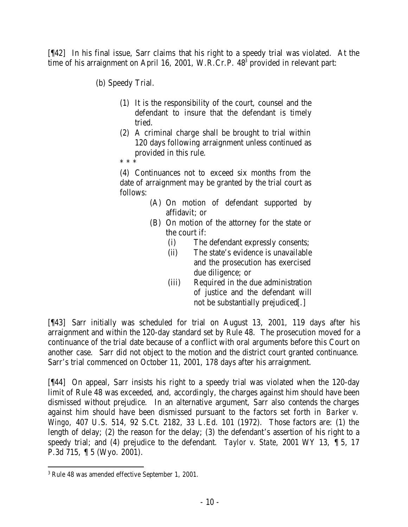[¶42] In his final issue, Sarr claims that his right to a speedy trial was violated. At the time of his arraignment on April 16, 2001, W.R.Cr.P. 48<sup>3</sup> provided in relevant part:

(b) Speedy Trial.

- (1) It is the responsibility of the court, counsel and the defendant to insure that the defendant is timely tried.
- (2) A criminal charge shall be brought to trial within 120 days following arraignment unless continued as provided in this rule.
- \* \* \*

(4) Continuances not to exceed six months from the date of arraignment may be granted by the trial court as follows:

- (A) On motion of defendant supported by affidavit; or
- (B) On motion of the attorney for the state or the court if:
	- (i) The defendant expressly consents;
	- (ii) The state's evidence is unavailable and the prosecution has exercised due diligence; or
	- (iii) Required in the due administration of justice and the defendant will not be substantially prejudiced[.]

[¶43] Sarr initially was scheduled for trial on August 13, 2001, 119 days after his arraignment and within the 120-day standard set by Rule 48. The prosecution moved for a continuance of the trial date because of a conflict with oral arguments before this Court on another case. Sarr did not object to the motion and the district court granted continuance. Sarr's trial commenced on October 11, 2001, 178 days after his arraignment.

[¶44] On appeal, Sarr insists his right to a speedy trial was violated when the 120-day limit of Rule 48 was exceeded, and, accordingly, the charges against him should have been dismissed without prejudice. In an alternative argument, Sarr also contends the charges against him should have been dismissed pursuant to the factors set forth in *Barker v. Wingo,* 407 U.S. 514, 92 S.Ct. 2182, 33 L.Ed. 101 (1972). Those factors are: (1) the length of delay; (2) the reason for the delay; (3) the defendant's assertion of his right to a speedy trial; and (4) prejudice to the defendant. *Taylor v. State,* 2001 WY 13, ¶ 5, 17 P.3d 715, ¶ 5 (Wyo. 2001).

 3 Rule 48 was amended effective September 1, 2001.